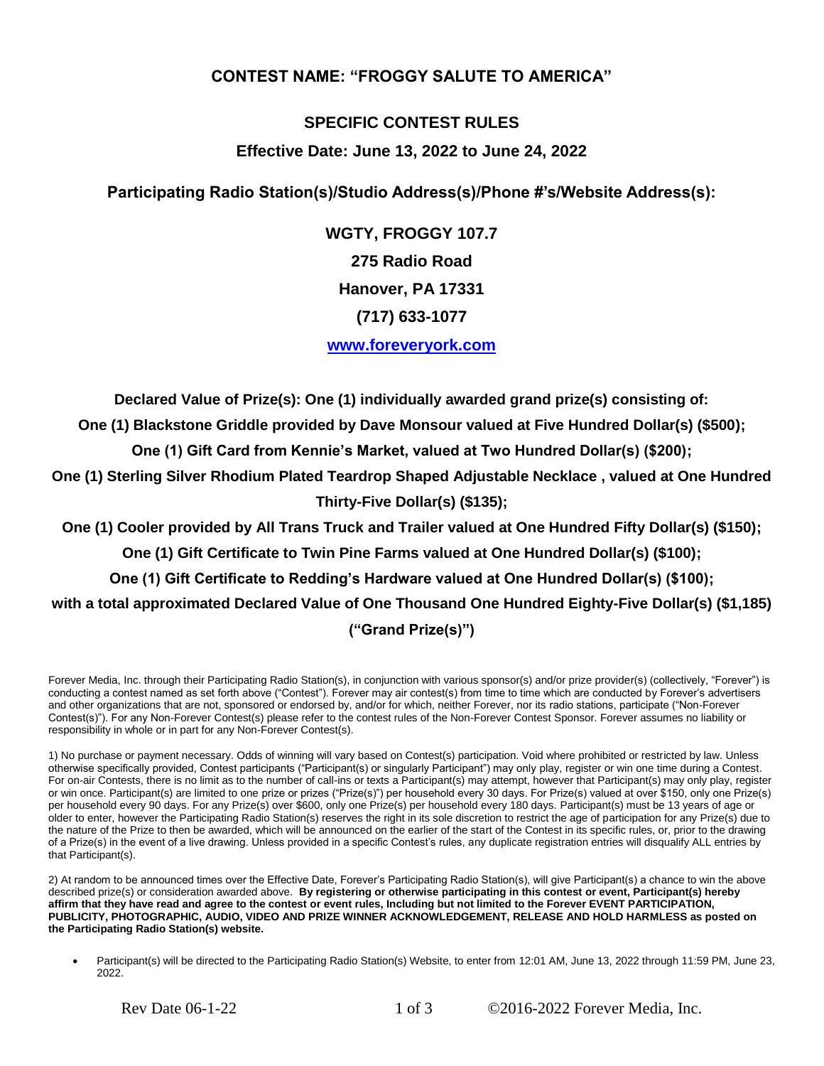## **CONTEST NAME: "FROGGY SALUTE TO AMERICA"**

## **SPECIFIC CONTEST RULES**

## **Effective Date: June 13, 2022 to June 24, 2022**

**Participating Radio Station(s)/Studio Address(s)/Phone #'s/Website Address(s):**

**WGTY, FROGGY 107.7 275 Radio Road Hanover, PA 17331 (717) 633-1077 [www.foreveryork.com](http://www.foreveryork.com/)**

**Declared Value of Prize(s): One (1) individually awarded grand prize(s) consisting of:** 

**One (1) Blackstone Griddle provided by Dave Monsour valued at Five Hundred Dollar(s) (\$500);**

**One (1) Gift Card from Kennie's Market, valued at Two Hundred Dollar(s) (\$200);**

**One (1) Sterling Silver Rhodium Plated Teardrop Shaped Adjustable Necklace , valued at One Hundred Thirty-Five Dollar(s) (\$135);**

**One (1) Cooler provided by All Trans Truck and Trailer valued at One Hundred Fifty Dollar(s) (\$150);**

**One (1) Gift Certificate to Twin Pine Farms valued at One Hundred Dollar(s) (\$100);**

**One (1) Gift Certificate to Redding's Hardware valued at One Hundred Dollar(s) (\$100);**

**with a total approximated Declared Value of One Thousand One Hundred Eighty-Five Dollar(s) (\$1,185)** 

## **("Grand Prize(s)")**

Forever Media, Inc. through their Participating Radio Station(s), in conjunction with various sponsor(s) and/or prize provider(s) (collectively, "Forever") is conducting a contest named as set forth above ("Contest"). Forever may air contest(s) from time to time which are conducted by Forever's advertisers and other organizations that are not, sponsored or endorsed by, and/or for which, neither Forever, nor its radio stations, participate ("Non-Forever Contest(s)"). For any Non-Forever Contest(s) please refer to the contest rules of the Non-Forever Contest Sponsor. Forever assumes no liability or responsibility in whole or in part for any Non-Forever Contest(s).

1) No purchase or payment necessary. Odds of winning will vary based on Contest(s) participation. Void where prohibited or restricted by law. Unless otherwise specifically provided, Contest participants ("Participant(s) or singularly Participant") may only play, register or win one time during a Contest. For on-air Contests, there is no limit as to the number of call-ins or texts a Participant(s) may attempt, however that Participant(s) may only play, register or win once. Participant(s) are limited to one prize or prizes ("Prize(s)") per household every 30 days. For Prize(s) valued at over \$150, only one Prize(s) per household every 90 days. For any Prize(s) over \$600, only one Prize(s) per household every 180 days. Participant(s) must be 13 years of age or older to enter, however the Participating Radio Station(s) reserves the right in its sole discretion to restrict the age of participation for any Prize(s) due to the nature of the Prize to then be awarded, which will be announced on the earlier of the start of the Contest in its specific rules, or, prior to the drawing of a Prize(s) in the event of a live drawing. Unless provided in a specific Contest's rules, any duplicate registration entries will disqualify ALL entries by that Participant(s).

2) At random to be announced times over the Effective Date, Forever's Participating Radio Station(s), will give Participant(s) a chance to win the above described prize(s) or consideration awarded above. **By registering or otherwise participating in this contest or event, Participant(s) hereby affirm that they have read and agree to the contest or event rules, Including but not limited to the Forever EVENT PARTICIPATION, PUBLICITY, PHOTOGRAPHIC, AUDIO, VIDEO AND PRIZE WINNER ACKNOWLEDGEMENT, RELEASE AND HOLD HARMLESS as posted on the Participating Radio Station(s) website.**

Participant(s) will be directed to the Participating Radio Station(s) Website, to enter from 12:01 AM, June 13, 2022 through 11:59 PM, June 23, 2022.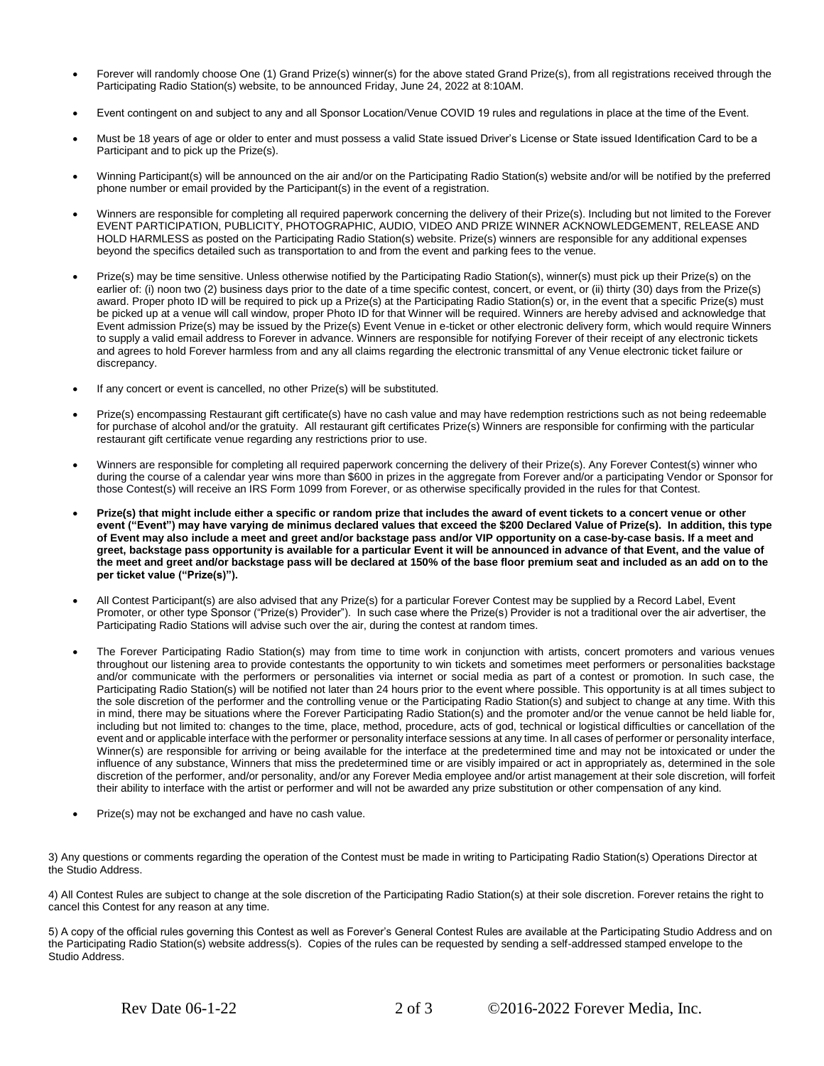- Forever will randomly choose One (1) Grand Prize(s) winner(s) for the above stated Grand Prize(s), from all registrations received through the Participating Radio Station(s) website, to be announced Friday, June 24, 2022 at 8:10AM.
- Event contingent on and subject to any and all Sponsor Location/Venue COVID 19 rules and regulations in place at the time of the Event.
- Must be 18 years of age or older to enter and must possess a valid State issued Driver's License or State issued Identification Card to be a Participant and to pick up the Prize(s).
- Winning Participant(s) will be announced on the air and/or on the Participating Radio Station(s) website and/or will be notified by the preferred phone number or email provided by the Participant(s) in the event of a registration.
- Winners are responsible for completing all required paperwork concerning the delivery of their Prize(s). Including but not limited to the Forever EVENT PARTICIPATION, PUBLICITY, PHOTOGRAPHIC, AUDIO, VIDEO AND PRIZE WINNER ACKNOWLEDGEMENT, RELEASE AND HOLD HARMLESS as posted on the Participating Radio Station(s) website. Prize(s) winners are responsible for any additional expenses beyond the specifics detailed such as transportation to and from the event and parking fees to the venue.
- Prize(s) may be time sensitive. Unless otherwise notified by the Participating Radio Station(s), winner(s) must pick up their Prize(s) on the earlier of: (i) noon two (2) business days prior to the date of a time specific contest, concert, or event, or (ii) thirty (30) days from the Prize(s) award. Proper photo ID will be required to pick up a Prize(s) at the Participating Radio Station(s) or, in the event that a specific Prize(s) must be picked up at a venue will call window, proper Photo ID for that Winner will be required. Winners are hereby advised and acknowledge that Event admission Prize(s) may be issued by the Prize(s) Event Venue in e-ticket or other electronic delivery form, which would require Winners to supply a valid email address to Forever in advance. Winners are responsible for notifying Forever of their receipt of any electronic tickets and agrees to hold Forever harmless from and any all claims regarding the electronic transmittal of any Venue electronic ticket failure or discrepancy.
- If any concert or event is cancelled, no other Prize(s) will be substituted.
- Prize(s) encompassing Restaurant gift certificate(s) have no cash value and may have redemption restrictions such as not being redeemable for purchase of alcohol and/or the gratuity. All restaurant gift certificates Prize(s) Winners are responsible for confirming with the particular restaurant gift certificate venue regarding any restrictions prior to use.
- Winners are responsible for completing all required paperwork concerning the delivery of their Prize(s). Any Forever Contest(s) winner who during the course of a calendar year wins more than \$600 in prizes in the aggregate from Forever and/or a participating Vendor or Sponsor for those Contest(s) will receive an IRS Form 1099 from Forever, or as otherwise specifically provided in the rules for that Contest.
- **Prize(s) that might include either a specific or random prize that includes the award of event tickets to a concert venue or other event ("Event") may have varying de minimus declared values that exceed the \$200 Declared Value of Prize(s). In addition, this type of Event may also include a meet and greet and/or backstage pass and/or VIP opportunity on a case-by-case basis. If a meet and greet, backstage pass opportunity is available for a particular Event it will be announced in advance of that Event, and the value of the meet and greet and/or backstage pass will be declared at 150% of the base floor premium seat and included as an add on to the per ticket value ("Prize(s)").**
- All Contest Participant(s) are also advised that any Prize(s) for a particular Forever Contest may be supplied by a Record Label, Event Promoter, or other type Sponsor ("Prize(s) Provider"). In such case where the Prize(s) Provider is not a traditional over the air advertiser, the Participating Radio Stations will advise such over the air, during the contest at random times.
- The Forever Participating Radio Station(s) may from time to time work in conjunction with artists, concert promoters and various venues throughout our listening area to provide contestants the opportunity to win tickets and sometimes meet performers or personalities backstage and/or communicate with the performers or personalities via internet or social media as part of a contest or promotion. In such case, the Participating Radio Station(s) will be notified not later than 24 hours prior to the event where possible. This opportunity is at all times subject to the sole discretion of the performer and the controlling venue or the Participating Radio Station(s) and subject to change at any time. With this in mind, there may be situations where the Forever Participating Radio Station(s) and the promoter and/or the venue cannot be held liable for, including but not limited to: changes to the time, place, method, procedure, acts of god, technical or logistical difficulties or cancellation of the event and or applicable interface with the performer or personality interface sessions at any time. In all cases of performer or personality interface, Winner(s) are responsible for arriving or being available for the interface at the predetermined time and may not be intoxicated or under the influence of any substance, Winners that miss the predetermined time or are visibly impaired or act in appropriately as, determined in the sole discretion of the performer, and/or personality, and/or any Forever Media employee and/or artist management at their sole discretion, will forfeit their ability to interface with the artist or performer and will not be awarded any prize substitution or other compensation of any kind.
- Prize(s) may not be exchanged and have no cash value.

3) Any questions or comments regarding the operation of the Contest must be made in writing to Participating Radio Station(s) Operations Director at the Studio Address.

4) All Contest Rules are subject to change at the sole discretion of the Participating Radio Station(s) at their sole discretion. Forever retains the right to cancel this Contest for any reason at any time.

5) A copy of the official rules governing this Contest as well as Forever's General Contest Rules are available at the Participating Studio Address and on the Participating Radio Station(s) website address(s). Copies of the rules can be requested by sending a self-addressed stamped envelope to the Studio Address.